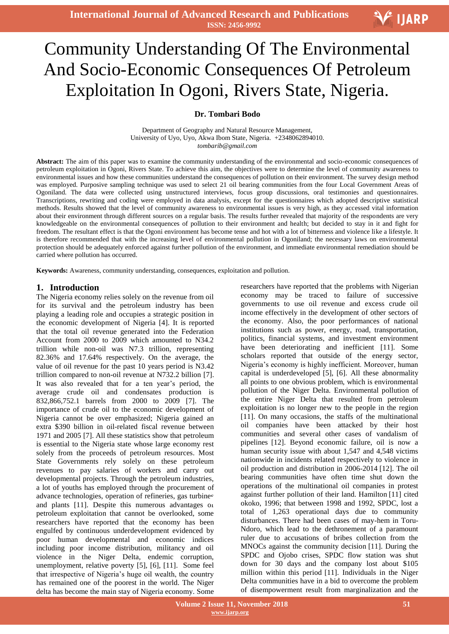# Community Understanding Of The Environmental And Socio-Economic Consequences Of Petroleum Exploitation In Ogoni, Rivers State, Nigeria.

## **Dr. Tombari Bodo**

Department of Geography and Natural Resource Management, University of Uyo, Uyo, Akwa Ibom State, Nigeria. +2348062894010. *tombarib@gmail.com*

**Abstract:** The aim of this paper was to examine the community understanding of the environmental and socio-economic consequences of petroleum exploitation in Ogoni, Rivers State. To achieve this aim, the objectives were to determine the level of community awareness to environmental issues and how these communities understand the consequences of pollution on their environment. The survey design method was employed. Purposive sampling technique was used to select 21 oil bearing communities from the four Local Government Areas of Ogoniland. The data were collected using unstructured interviews, focus group discussions, oral testimonies and questionnaires. Transcriptions, rewriting and coding were employed in data analysis, except for the questionnaires which adopted descriptive statistical methods. Results showed that the level of community awareness to environmental issues is very high, as they accessed vital information about their environment through different sources on a regular basis. The results further revealed that majority of the respondents are very knowledgeable on the environmental consequences of pollution to their environment and health; but decided to stay in it and fight for freedom. The resultant effect is that the Ogoni environment has become tense and hot with a lot of bitterness and violence like a lifestyle. It is therefore recommended that with the increasing level of environmental pollution in Ogoniland; the necessary laws on environmental protection should be adequately enforced against further pollution of the environment, and immediate environmental remediation should be carried where pollution has occurred.

**Keywords:** Awareness, community understanding, consequences, exploitation and pollution.

#### **1. Introduction**

advance technologies, operation of refinencies, gas talonic<br>and plants [11]. Despite this numerous advantages of The Nigeria economy relies solely on the revenue from oil for its survival and the petroleum industry has been playing a leading role and occupies a strategic position in the economic development of Nigeria [4]. It is reported that the total oil revenue generated into the Federation Account from 2000 to 2009 which amounted to N34.2 trillion while non-oil was N7.3 trillion, representing 82.36% and 17.64% respectively. On the average, the value of oil revenue for the past 10 years period is N3.42 trillion compared to non-oil revenue at N732.2 billion [7]. It was also revealed that for a ten year's period, the average crude oil and condensates production is 832,866,752.1 barrels from 2000 to 2009 [7]. The importance of crude oil to the economic development of Nigeria cannot be over emphasized; Nigeria gained an extra \$390 billion in oil-related fiscal revenue between 1971 and 2005 [7]. All these statistics show that petroleum is essential to the Nigeria state whose large economy rest solely from the proceeds of petroleum resources. Most State Governments rely solely on these petroleum revenues to pay salaries of workers and carry out developmental projects. Through the petroleum industries, a lot of youths has employed through the procurement of advance technologies, operation of refineries, gas turbines petroleum exploitation that cannot be overlooked, some researchers have reported that the economy has been engulfed by continuous underdevelopment evidenced by poor human developmental and economic indices including poor income distribution, militancy and oil violence in the Niger Delta, endemic corruption, unemployment, relative poverty [5], [6], [11]. Some feel that irrespective of Nigeria's huge oil wealth, the country has remained one of the poorest in the world. The Niger delta has become the main stay of Nigeria economy. Some

researchers have reported that the problems with Nigerian economy may be traced to failure of successive governments to use oil revenue and excess crude oil income effectively in the development of other sectors of the economy. Also, the poor performances of national institutions such as power, energy, road, transportation, politics, financial systems, and investment environment have been deteriorating and inefficient [11]. Some scholars reported that outside of the energy sector, Nigeria's economy is highly inefficient. Moreover, human capital is underdeveloped [5], [6]. All these abnormality all points to one obvious problem, which is environmental pollution of the Niger Delta. Environmental pollution of the entire Niger Delta that resulted from petroleum exploitation is no longer new to the people in the region [11]. On many occasions, the staffs of the multinational oil companies have been attacked by their host communities and several other cases of vandalism of pipelines [12]. Beyond economic failure, oil is now a human security issue with about 1,547 and 4,548 victims nationwide in incidents related respectively to violence in oil production and distribution in 2006-2014 [12]. The oil bearing communities have often time shut down the operations of the multinational oil companies in protest against further pollution of their land. Hamilton [11] cited okoko, 1996; that between 1998 and 1992, SPDC, lost a total of 1,263 operational days due to community disturbances. There had been cases of may-hem in Toru-Ndoro, which lead to the dethronement of a paramount ruler due to accusations of bribes collection from the MNOCs against the community decision [11]. During the SPDC and Ojobo crises, SPDC flow station was shut down for 30 days and the company lost about \$105 million within this period [11]. Individuals in the Niger Delta communities have in a bid to overcome the problem of disempowerment result from marginalization and the

V IJARP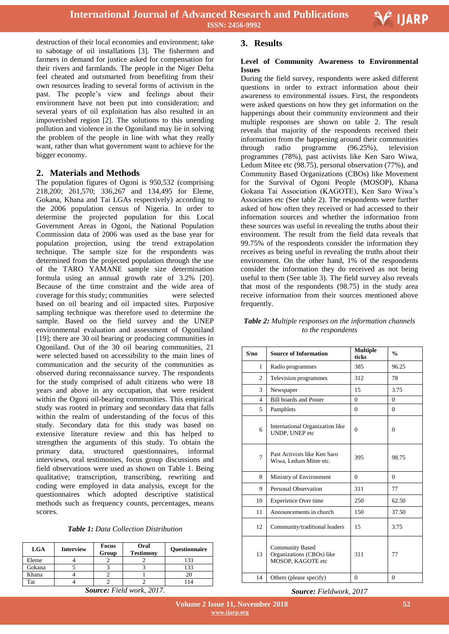

destruction of their local economies and environment; take to sabotage of oil installations [3]. The fishermen and farmers in demand for justice asked for compensation for their rivers and farmlands. The people in the Niger Delta feel cheated and outsmarted from benefiting from their own resources leading to several forms of activism in the past. The people's view and feelings about their environment have not been put into consideration; and several years of oil exploitation has also resulted in an impoverished region [2]. The solutions to this unending pollution and violence in the Ogoniland may lie in solving the problem of the people in line with what they really want, rather than what government want to achieve for the bigger economy.

## **2. Materials and Methods**

The population figures of Ogoni is 950,532 (comprising 218,200; 261,570; 336,267 and 134,495 for Eleme, Gokana, Khana and Tai LGAs respectively) according to the 2006 population census of Nigeria. In order to determine the projected population for this Local Government Areas in Ogoni, the National Population Commission data of 2006 was used as the base year for population projection, using the trend extrapolation technique. The sample size for the respondents was determined from the projected population through the use of the TARO YAMANE sample size determination formula using an annual growth rate of 3.2% [20]. Because of the time constraint and the wide area of coverage for this study; communities were selected based on oil bearing and oil impacted sites. Purposive sampling technique was therefore used to determine the sample. Based on the field survey and the UNEP environmental evaluation and assessment of Ogoniland [19]; there are 30 oil bearing or producing communities in Ogoniland. Out of the 30 oil bearing communities, 21 were selected based on accessibility to the main lines of communication and the security of the communities as observed during reconnaissance survey. The respondents for the study comprised of adult citizens who were 18 years and above in any occupation, that were resident within the Ogoni oil-bearing communities. This empirical study was rooted in primary and secondary data that falls within the realm of understanding of the focus of this study. Secondary data for this study was based on extensive literature review and this has helped to strengthen the arguments of this study. To obtain the primary data, structured questionnaires, informal interviews, oral testimonies, focus group discussions and field observations were used as shown on Table 1. Being qualitative; transcription, transcribing, rewriting and coding were employed in data analysis, except for the questionnaires which adopted descriptive statistical methods such as frequency counts, percentages, means scores.

| <b>Table 1:</b> Data Collection Distribution |  |
|----------------------------------------------|--|
|----------------------------------------------|--|

| <b>LGA</b> | <b>Interview</b> | <b>Focus</b><br>Group | Oral<br><b>Testimony</b> | <b>Ouestionnaire</b> |
|------------|------------------|-----------------------|--------------------------|----------------------|
| Eleme      |                  |                       |                          | 133                  |
| Gokana     |                  |                       |                          | 133                  |
| Khana      |                  |                       |                          |                      |
| Tai        |                  |                       |                          |                      |

*Source: Field work, 2017.*

## **3. Results**

### **Level of Community Awareness to Environmental Issues**

During the field survey, respondents were asked different questions in order to extract information about their awareness to environmental issues. First, the respondents were asked questions on how they get information on the happenings about their community environment and their multiple responses are shown on table 2. The result reveals that majority of the respondents received their information from the happening around their communities through radio programme (96.25%), television programmes (78%), past activists like Ken Saro Wiwa, Ledum Mitee etc (98.75), personal observation (77%), and Community Based Organizations (CBOs) like Movement for the Survival of Ogoni People (MOSOP), Khana Gokana Tai Association (KAGOTE), Ken Saro Wiwa's Associates etc (See table 2). The respondents were further asked of how often they received or had accessed to their information sources and whether the information from these sources was useful in revealing the truths about their environment. The result from the field data reveals that 99.75% of the respondents consider the information they receives as being useful in revealing the truths about their environment. On the other hand, 1% of the respondents consider the information they do received as not being useful to them (See table 3). The field survey also reveals that most of the respondents (98.75) in the study area receive information from their sources mentioned above frequently.

| Table 2: Multiple responses on the information channels |
|---------------------------------------------------------|
| to the respondents                                      |

| S/no           | <b>Source of Information</b>                                             | <b>Multiple</b><br>ticks | $\frac{0}{0}$  |
|----------------|--------------------------------------------------------------------------|--------------------------|----------------|
| 1              | Radio programmes                                                         | 385                      | 96.25          |
| $\overline{c}$ | Television programmes                                                    | 312                      | 78             |
| 3              | Newspaper                                                                | 15                       | 3.75           |
| $\overline{4}$ | <b>Bill boards and Poster</b>                                            | $\Omega$                 | $\theta$       |
| 5              | Pamphlets                                                                | $\Omega$                 | $\Omega$       |
| 6              | International Organization like<br>UNDP, UNEP etc                        | $\Omega$                 | $\theta$       |
| $\overline{7}$ | Past Activists like Ken Saro<br>Wiwa, Ledum Mitee etc.                   | 395                      | 98.75          |
| 8              | Ministry of Environment                                                  | $\Omega$                 | $\Omega$       |
| 9              | Personal Observation                                                     | 311                      | 77             |
| 10             | Experience Over time                                                     | 250                      | 62.50          |
| 11             | Announcements in church                                                  | 150                      | 37.50          |
| 12             | Community/traditional leaders                                            | 15                       | 3.75           |
| 13             | <b>Community Based</b><br>Organizations (CBOs) like<br>MOSOP, KAGOTE etc | 311                      | 77             |
| 14             | Others (please specify)                                                  | $\overline{0}$           | $\overline{0}$ |

#### *Source: Fieldwork, 2017*

 **Volume 2 Issue 11, November 2018 www.ijarp.org**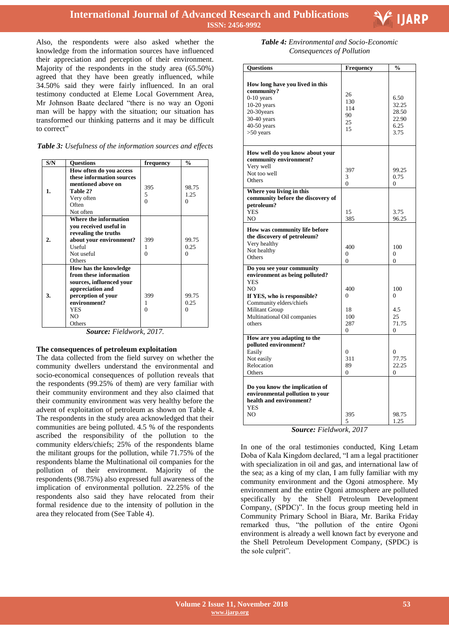

Also, the respondents were also asked whether the knowledge from the information sources have influenced their appreciation and perception of their environment. Majority of the respondents in the study area (65.50%) agreed that they have been greatly influenced, while 34.50% said they were fairly influenced. In an oral testimony conducted at Eleme Local Government Area, Mr Johnson Baate declared "there is no way an Ogoni man will be happy with the situation; our situation has transformed our thinking patterns and it may be difficult to correct"

|  | Table 3: Usefulness of the information sources and effects |  |  |
|--|------------------------------------------------------------|--|--|
|  |                                                            |  |  |

| S/N | <b>Ouestions</b>                                                                                                                                                                | frequency            | $\frac{0}{0}$             |
|-----|---------------------------------------------------------------------------------------------------------------------------------------------------------------------------------|----------------------|---------------------------|
| 1.  | How often do you access<br>these information sources<br>mentioned above on<br>Table 2?<br>Very often<br>Often<br>Not often                                                      | 395<br>5<br>$\Omega$ | 98.75<br>1.25<br>$\Omega$ |
| 2.  | Where the information<br>you received useful in<br>revealing the truths<br>about your environment?<br>Useful<br>Not useful<br>Others                                            | 399<br>1<br>0        | 99.75<br>0.25<br>$\Omega$ |
| 3.  | How has the knowledge<br>from these information<br>sources, influenced your<br>appreciation and<br>perception of your<br>environment?<br><b>YES</b><br>N <sub>O</sub><br>Others | 399<br>1<br>$\Omega$ | 99.75<br>0.25<br>$\Omega$ |

*Source: Fieldwork, 2017.*

#### **The consequences of petroleum exploitation**

The data collected from the field survey on whether the community dwellers understand the environmental and socio-economical consequences of pollution reveals that the respondents (99.25% of them) are very familiar with their community environment and they also claimed that their community environment was very healthy before the advent of exploitation of petroleum as shown on Table 4. The respondents in the study area acknowledged that their communities are being polluted. 4.5 % of the respondents ascribed the responsibility of the pollution to the community elders/chiefs; 25% of the respondents blame the militant groups for the pollution, while 71.75% of the respondents blame the Multinational oil companies for the pollution of their environment. Majority of the respondents (98.75%) also expressed full awareness of the implication of environmental pollution. 22.25% of the respondents also said they have relocated from their formal residence due to the intensity of pollution in the area they relocated from (See Table 4).

| <b>Table 4:</b> Environmental and Socio-Economic |
|--------------------------------------------------|
| Consequences of Pollution                        |

| Questions                                                                                                                                                                                                               | Frequency                                           | $\frac{0}{0}$                                     |
|-------------------------------------------------------------------------------------------------------------------------------------------------------------------------------------------------------------------------|-----------------------------------------------------|---------------------------------------------------|
| How long have you lived in this<br>community?<br>$0-10$ years<br>$10-20$ years<br>20-30years<br>$30-40$ years<br>$40-50$ years<br>$>50$ years                                                                           | 26<br>130<br>114<br>90<br>25<br>15                  | 6.50<br>32.25<br>28.50<br>22.90<br>6.25<br>3.75   |
| How well do you know about your<br>community environment?<br>Very well<br>Not too well<br>Others<br>Where you living in this<br>community before the discovery of<br>petroleum?                                         | 397<br>3<br>$\theta$                                | 99.25<br>0.75<br>0                                |
| <b>YES</b><br>N <sub>O</sub>                                                                                                                                                                                            | 15<br>385                                           | 3.75<br>96.25                                     |
| How was community life before<br>the discovery of petroleum?<br>Very healthy<br>Not healthy<br>Others                                                                                                                   | 400<br>$\Omega$<br>$\overline{0}$                   | 100<br>$\theta$<br>0                              |
| Do you see your community<br>environment as being polluted?<br><b>YES</b><br>N <sub>O</sub><br>If YES, who is responsible?<br>Community elders/chiefs<br><b>Militant Group</b><br>Multinational Oil companies<br>others | 400<br>$\Omega$<br>18<br>100<br>287<br>$\mathbf{0}$ | 100<br>$\theta$<br>4.5<br>25<br>71.75<br>$\Omega$ |
| How are you adapting to the<br>polluted environment?<br>Easily<br>Not easily<br>Relocation<br>Others                                                                                                                    | $\Omega$<br>311<br>89<br>0                          | 0<br>77.75<br>22.25<br>$\theta$                   |
| Do you know the implication of<br>environmental pollution to your<br>health and environment?<br>YES<br>NO.                                                                                                              | 395<br>5                                            | 98.75<br>1.25                                     |

*Source: Fieldwork, 2017*

In one of the oral testimonies conducted, King Letam Doba of Kala Kingdom declared, "I am a legal practitioner with specialization in oil and gas, and international law of the sea; as a king of my clan, I am fully familiar with my community environment and the Ogoni atmosphere. My environment and the entire Ogoni atmosphere are polluted specifically by the Shell Petroleum Development Company, (SPDC)". In the focus group meeting held in Community Primary School in Biara, Mr. Barika Friday remarked thus, "the pollution of the entire Ogoni environment is already a well known fact by everyone and the Shell Petroleum Development Company, (SPDC) is the sole culprit".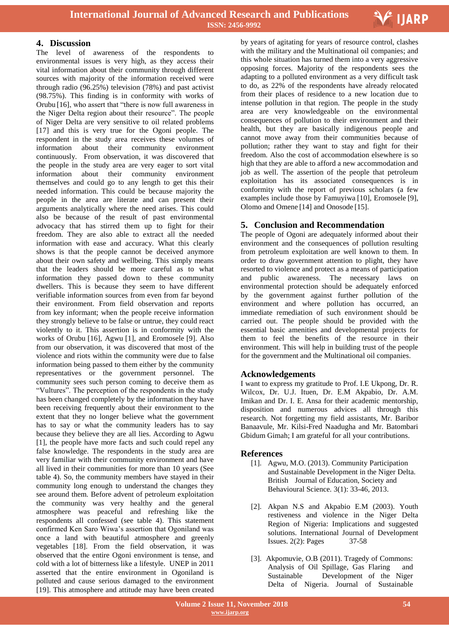

# **4. Discussion**

The level of awareness of the respondents to environmental issues is very high, as they access their vital information about their community through different sources with majority of the information received were through radio (96.25%) television (78%) and past activist (98.75%). This finding is in conformity with works of Orubu [16], who assert that "there is now full awareness in the Niger Delta region about their resource". The people of Niger Delta are very sensitive to oil related problems [17] and this is very true for the Ogoni people. The respondent in the study area receives these volumes of information about their community environment continuously. From observation, it was discovered that the people in the study area are very eager to sort vital information about their community environment themselves and could go to any length to get this their needed information. This could be because majority the people in the area are literate and can present their arguments analytically where the need arises. This could also be because of the result of past environmental advocacy that has stirred them up to fight for their freedom. They are also able to extract all the needed information with ease and accuracy. What this clearly shows is that the people cannot be deceived anymore about their own safety and wellbeing. This simply means that the leaders should be more careful as to what information they passed down to these community dwellers. This is because they seem to have different verifiable information sources from even from far beyond their environment. From field observation and reports from key informant; when the people receive information they strongly believe to be false or untrue, they could react violently to it. This assertion is in conformity with the works of Orubu [16], Agwu [1], and Eromosele [9]. Also from our observation, it was discovered that most of the violence and riots within the community were due to false information being passed to them either by the community representatives or the government personnel. The community sees such person coming to deceive them as "Vultures". The perception of the respondents in the study has been changed completely by the information they have been receiving frequently about their environment to the extent that they no longer believe what the government has to say or what the community leaders has to say because they believe they are all lies. According to Agwu [1], the people have more facts and such could repel any false knowledge. The respondents in the study area are very familiar with their community environment and have all lived in their communities for more than 10 years (See table 4). So, the community members have stayed in their community long enough to understand the changes they see around them. Before advent of petroleum exploitation the community was very healthy and the general atmosphere was peaceful and refreshing like the respondents all confessed (see table 4). This statement confirmed Ken Saro Wiwa's assertion that Ogoniland was once a land with beautiful atmosphere and greenly vegetables [18]. From the field observation, it was observed that the entire Ogoni environment is tense, and cold with a lot of bitterness like a lifestyle. UNEP in 2011 asserted that the entire environment in Ogoniland is polluted and cause serious damaged to the environment [19]. This atmosphere and attitude may have been created

 by years of agitating for years of resource control, clashes with the military and the Multinational oil companies; and this whole situation has turned them into a very aggressive opposing forces. Majority of the respondents sees the adapting to a polluted environment as a very difficult task to do, as 22% of the respondents have already relocated from their places of residence to a new location due to intense pollution in that region. The people in the study area are very knowledgeable on the environmental consequences of pollution to their environment and their health, but they are basically indigenous people and cannot move away from their communities because of pollution; rather they want to stay and fight for their freedom. Also the cost of accommodation elsewhere is so high that they are able to afford a new accommodation and job as well. The assertion of the people that petroleum exploitation has its associated consequences is in conformity with the report of previous scholars (a few examples include those by Famuyiwa [10], Eromosele [9], Olomo and Omene [14] and Onosode [15].

# **5. Conclusion and Recommendation**

The people of Ogoni are adequately informed about their environment and the consequences of pollution resulting from petroleum exploitation are well known to them. In order to draw government attention to plight, they have resorted to violence and protect as a means of participation and public awareness. The necessary laws on environmental protection should be adequately enforced by the government against further pollution of the environment and where pollution has occurred, an immediate remediation of such environment should be carried out. The people should be provided with the essential basic amenities and developmental projects for them to feel the benefits of the resource in their environment. This will help in building trust of the people for the government and the Multinational oil companies.

# **Acknowledgements**

I want to express my gratitude to Prof. I.E Ukpong, Dr. R. Wilcox, Dr. U.J. Ituen, Dr. E.M Akpabio, Dr. A.M. Imikan and Dr. I. E. Ansa for their academic mentorship, disposition and numerous advices all through this research. Not forgetting my field assistants, Mr. Baribor Banaavule, Mr. Kilsi-Fred Naadugha and Mr. Batombari Gbidum Gimah; I am grateful for all your contributions.

## **References**

- [1]. Agwu, M.O. (2013). Community Participation and Sustainable Development in the Niger Delta. British Journal of Education, Society and Behavioural Science. 3(1): 33-46, 2013.
- [2]. Akpan N.S and Akpabio E.M (2003). Youth restiveness and violence in the Niger Delta Region of Nigeria: Implications and suggested solutions. International Journal of Development Issues. 2(2): Pages 37-58
- [3]. Akpomuvie, O.B (2011). Tragedy of Commons: Analysis of Oil Spillage, Gas Flaring and Sustainable Development of the Niger Delta of Nigeria. Journal of Sustainable